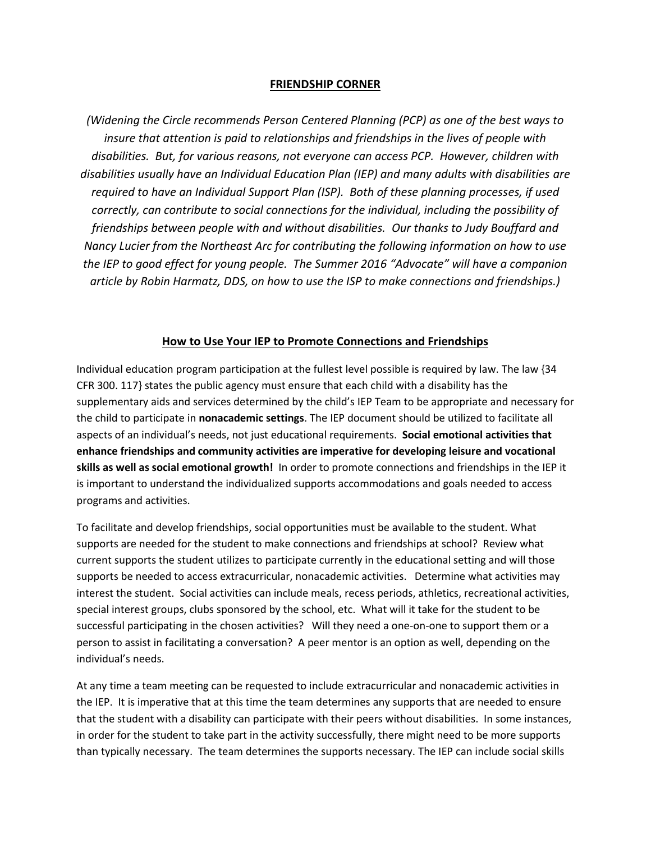## **FRIENDSHIP CORNER**

*(Widening the Circle recommends Person Centered Planning (PCP) as one of the best ways to insure that attention is paid to relationships and friendships in the lives of people with disabilities. But, for various reasons, not everyone can access PCP. However, children with disabilities usually have an Individual Education Plan (IEP) and many adults with disabilities are required to have an Individual Support Plan (ISP). Both of these planning processes, if used correctly, can contribute to social connections for the individual, including the possibility of friendships between people with and without disabilities. Our thanks to Judy Bouffard and Nancy Lucier from the Northeast Arc for contributing the following information on how to use the IEP to good effect for young people. The Summer 2016 "Advocate" will have a companion article by Robin Harmatz, DDS, on how to use the ISP to make connections and friendships.)*

## **How to Use Your IEP to Promote Connections and Friendships**

Individual education program participation at the fullest level possible is required by law. The law {34 CFR 300. 117} states the public agency must ensure that each child with a disability has the supplementary aids and services determined by the child's IEP Team to be appropriate and necessary for the child to participate in **nonacademic settings**. The IEP document should be utilized to facilitate all aspects of an individual's needs, not just educational requirements. **Social emotional activities that enhance friendships and community activities are imperative for developing leisure and vocational skills as well as social emotional growth!** In order to promote connections and friendships in the IEP it is important to understand the individualized supports accommodations and goals needed to access programs and activities.

To facilitate and develop friendships, social opportunities must be available to the student. What supports are needed for the student to make connections and friendships at school? Review what current supports the student utilizes to participate currently in the educational setting and will those supports be needed to access extracurricular, nonacademic activities. Determine what activities may interest the student. Social activities can include meals, recess periods, athletics, recreational activities, special interest groups, clubs sponsored by the school, etc. What will it take for the student to be successful participating in the chosen activities? Will they need a one-on-one to support them or a person to assist in facilitating a conversation? A peer mentor is an option as well, depending on the individual's needs.

At any time a team meeting can be requested to include extracurricular and nonacademic activities in the IEP. It is imperative that at this time the team determines any supports that are needed to ensure that the student with a disability can participate with their peers without disabilities. In some instances, in order for the student to take part in the activity successfully, there might need to be more supports than typically necessary. The team determines the supports necessary. The IEP can include social skills